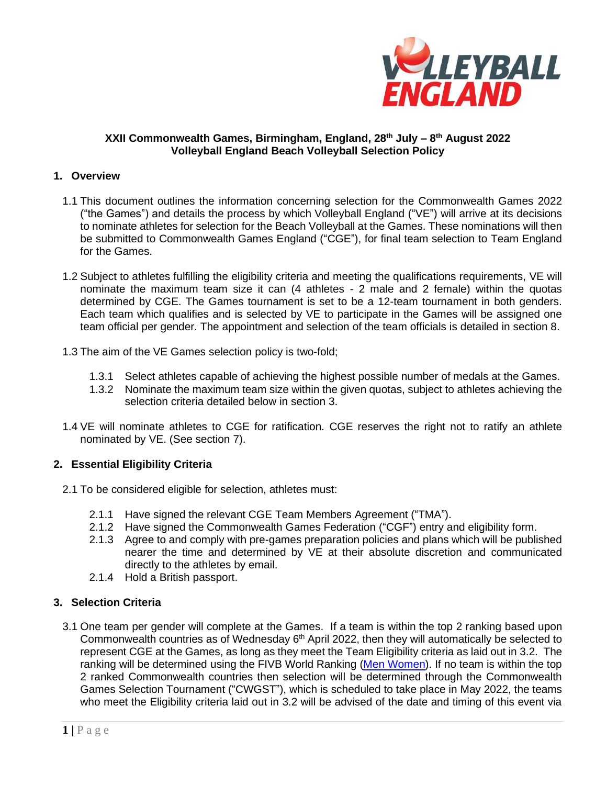

## **XXII Commonwealth Games, Birmingham, England, 28th July – 8 th August 2022 Volleyball England Beach Volleyball Selection Policy**

### **1. Overview**

- 1.1 This document outlines the information concerning selection for the Commonwealth Games 2022 ("the Games") and details the process by which Volleyball England ("VE") will arrive at its decisions to nominate athletes for selection for the Beach Volleyball at the Games. These nominations will then be submitted to Commonwealth Games England ("CGE"), for final team selection to Team England for the Games.
- 1.2 Subject to athletes fulfilling the eligibility criteria and meeting the qualifications requirements, VE will nominate the maximum team size it can (4 athletes - 2 male and 2 female) within the quotas determined by CGE. The Games tournament is set to be a 12-team tournament in both genders. Each team which qualifies and is selected by VE to participate in the Games will be assigned one team official per gender. The appointment and selection of the team officials is detailed in section 8.
- 1.3 The aim of the VE Games selection policy is two-fold;
	- 1.3.1 Select athletes capable of achieving the highest possible number of medals at the Games.
	- 1.3.2 Nominate the maximum team size within the given quotas, subject to athletes achieving the selection criteria detailed below in section 3.
- 1.4 VE will nominate athletes to CGE for ratification. CGE reserves the right not to ratify an athlete nominated by VE. (See section 7).

### **2. Essential Eligibility Criteria**

- 2.1 To be considered eligible for selection, athletes must:
	- 2.1.1 Have signed the relevant CGE Team Members Agreement ("TMA").
	- 2.1.2 Have signed the Commonwealth Games Federation ("CGF") entry and eligibility form.
	- 2.1.3 Agree to and comply with pre-games preparation policies and plans which will be published nearer the time and determined by VE at their absolute discretion and communicated directly to the athletes by email.
	- 2.1.4 Hold a British passport.

# **3. Selection Criteria**

3.1 One team per gender will complete at the Games. If a team is within the top 2 ranking based upon Commonwealth countries as of Wednesday  $6<sup>th</sup>$  April 2022, then they will automatically be selected to represent CGE at the Games, as long as they meet the Team Eligibility criteria as laid out in 3.2. The ranking will be determined using the FIVB World Ranking [\(Men](https://emea01.safelinks.protection.outlook.com/?url=https%3A%2F%2Fwww.fivb.com%2Fen%2Fbeachvolleyball%2Frankingmen&data=04%7C01%7C%7C50fb5e839ab14477829808d98706cb5f%7C84df9e7fe9f640afb435aaaaaaaaaaaa%7C1%7C0%7C637689285520573088%7CUnknown%7CTWFpbGZsb3d8eyJWIjoiMC4wLjAwMDAiLCJQIjoiV2luMzIiLCJBTiI6Ik1haWwiLCJXVCI6Mn0%3D%7C1000&sdata=mmGbizTTFk4XiELmGcowU7lLghNgCJ%2FmnM3dNNC1mQE%3D&reserved=0) [Women\)](https://emea01.safelinks.protection.outlook.com/?url=https%3A%2F%2Fwww.fivb.com%2Fen%2Fbeachvolleyball%2Frankingwomen&data=04%7C01%7C%7C50fb5e839ab14477829808d98706cb5f%7C84df9e7fe9f640afb435aaaaaaaaaaaa%7C1%7C0%7C637689285520573088%7CUnknown%7CTWFpbGZsb3d8eyJWIjoiMC4wLjAwMDAiLCJQIjoiV2luMzIiLCJBTiI6Ik1haWwiLCJXVCI6Mn0%3D%7C1000&sdata=CU33ipkibmwdSyqGbC70QwFEbWNXmDd0W0RiXzMzTAc%3D&reserved=0). If no team is within the top 2 ranked Commonwealth countries then selection will be determined through the Commonwealth Games Selection Tournament ("CWGST"), which is scheduled to take place in May 2022, the teams who meet the Eligibility criteria laid out in 3.2 will be advised of the date and timing of this event via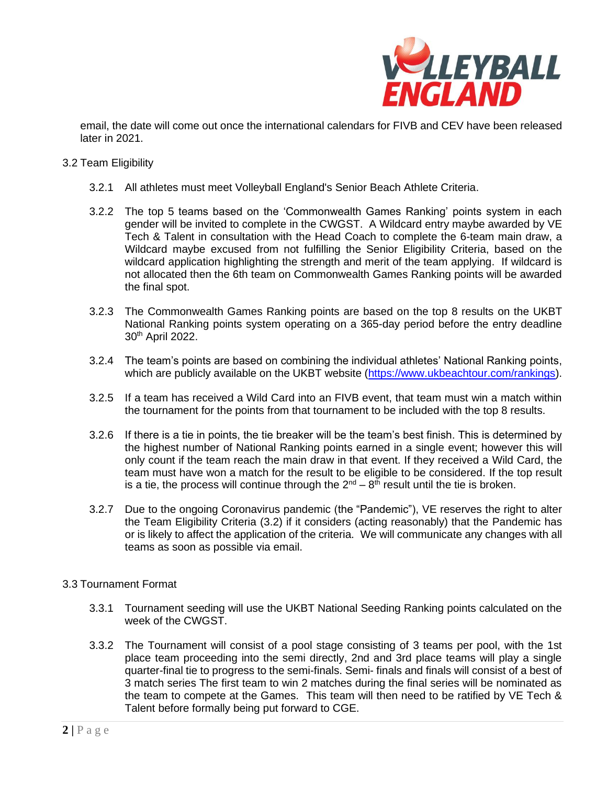

email, the date will come out once the international calendars for FIVB and CEV have been released later in 2021.

#### 3.2 Team Eligibility

- 3.2.1 All athletes must meet Volleyball England's Senior Beach Athlete Criteria.
- 3.2.2 The top 5 teams based on the 'Commonwealth Games Ranking' points system in each gender will be invited to complete in the CWGST. A Wildcard entry maybe awarded by VE Tech & Talent in consultation with the Head Coach to complete the 6-team main draw, a Wildcard maybe excused from not fulfilling the Senior Eligibility Criteria, based on the wildcard application highlighting the strength and merit of the team applying. If wildcard is not allocated then the 6th team on Commonwealth Games Ranking points will be awarded the final spot.
- 3.2.3 The Commonwealth Games Ranking points are based on the top 8 results on the UKBT National Ranking points system operating on a 365-day period before the entry deadline 30th April 2022.
- 3.2.4 The team's points are based on combining the individual athletes' National Ranking points, which are publicly available on the UKBT website [\(https://www.ukbeachtour.com/rankings\)](https://www.ukbeachtour.com/rankings).
- 3.2.5 If a team has received a Wild Card into an FIVB event, that team must win a match within the tournament for the points from that tournament to be included with the top 8 results.
- 3.2.6 If there is a tie in points, the tie breaker will be the team's best finish. This is determined by the highest number of National Ranking points earned in a single event; however this will only count if the team reach the main draw in that event. If they received a Wild Card, the team must have won a match for the result to be eligible to be considered. If the top result is a tie, the process will continue through the  $2^{nd} - 8^{th}$  result until the tie is broken.
- 3.2.7 Due to the ongoing Coronavirus pandemic (the "Pandemic"), VE reserves the right to alter the Team Eligibility Criteria (3.2) if it considers (acting reasonably) that the Pandemic has or is likely to affect the application of the criteria. We will communicate any changes with all teams as soon as possible via email.

### 3.3 Tournament Format

- 3.3.1 Tournament seeding will use the UKBT National Seeding Ranking points calculated on the week of the CWGST.
- 3.3.2 The Tournament will consist of a pool stage consisting of 3 teams per pool, with the 1st place team proceeding into the semi directly, 2nd and 3rd place teams will play a single quarter-final tie to progress to the semi-finals. Semi- finals and finals will consist of a best of 3 match series The first team to win 2 matches during the final series will be nominated as the team to compete at the Games. This team will then need to be ratified by VE Tech & Talent before formally being put forward to CGE.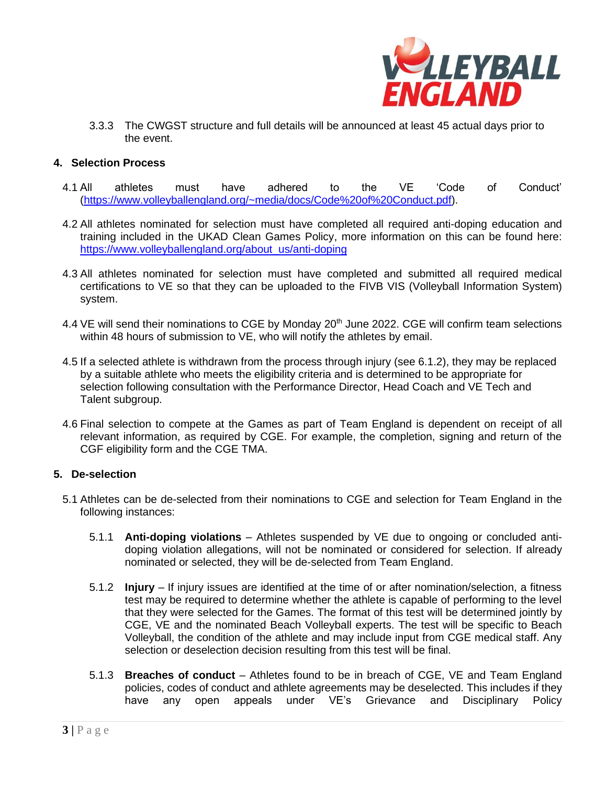

3.3.3 The CWGST structure and full details will be announced at least 45 actual days prior to the event.

## **4. Selection Process**

- 4.1 All athletes must have adhered to the VE 'Code of Conduct' [\(https://www.volleyballengland.org/~media/docs/Code%20of%20Conduct.pdf\)](https://www.volleyballengland.org/~media/docs/Code%20of%20Conduct.pdf).
- 4.2 All athletes nominated for selection must have completed all required anti-doping education and training included in the UKAD Clean Games Policy, more information on this can be found here: [https://www.volleyballengland.org/about\\_us/anti-doping](https://www.volleyballengland.org/about_us/anti-doping)
- 4.3 All athletes nominated for selection must have completed and submitted all required medical certifications to VE so that they can be uploaded to the FIVB VIS (Volleyball Information System) system.
- 4.4 VE will send their nominations to CGE by Monday 20<sup>th</sup> June 2022. CGE will confirm team selections within 48 hours of submission to VE, who will notify the athletes by email.
- 4.5 If a selected athlete is withdrawn from the process through injury (see 6.1.2), they may be replaced by a suitable athlete who meets the eligibility criteria and is determined to be appropriate for selection following consultation with the Performance Director, Head Coach and VE Tech and Talent subgroup.
- 4.6 Final selection to compete at the Games as part of Team England is dependent on receipt of all relevant information, as required by CGE. For example, the completion, signing and return of the CGF eligibility form and the CGE TMA.

### **5. De-selection**

- 5.1 Athletes can be de-selected from their nominations to CGE and selection for Team England in the following instances:
	- 5.1.1 **Anti-doping violations** Athletes suspended by VE due to ongoing or concluded antidoping violation allegations, will not be nominated or considered for selection. If already nominated or selected, they will be de-selected from Team England.
	- 5.1.2 **Injury** If injury issues are identified at the time of or after nomination/selection, a fitness test may be required to determine whether the athlete is capable of performing to the level that they were selected for the Games. The format of this test will be determined jointly by CGE, VE and the nominated Beach Volleyball experts. The test will be specific to Beach Volleyball, the condition of the athlete and may include input from CGE medical staff. Any selection or deselection decision resulting from this test will be final.
	- 5.1.3 **Breaches of conduct** Athletes found to be in breach of CGE, VE and Team England policies, codes of conduct and athlete agreements may be deselected. This includes if they have any open appeals under VE's Grievance and Disciplinary Policy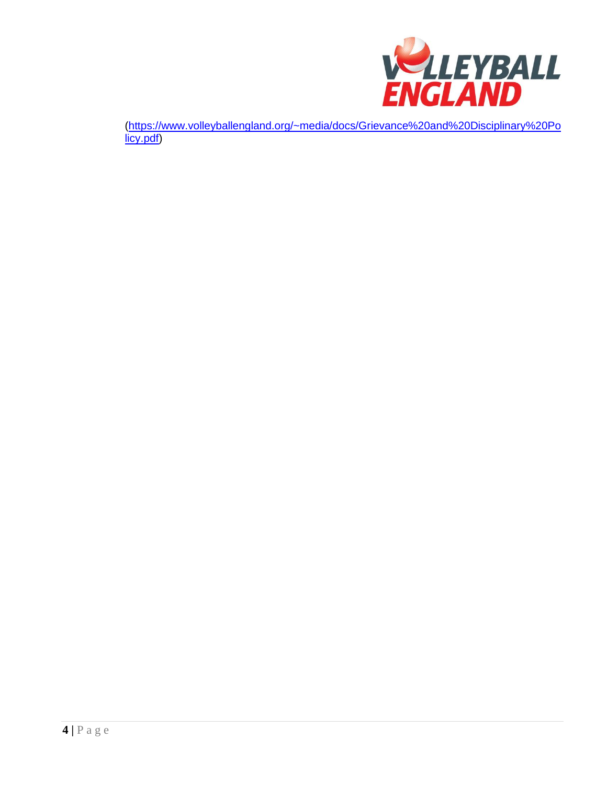

(https://www.volleyballengland.org/~media/docs/Grievance%20and%20Disciplinary%20Po licy.pdf)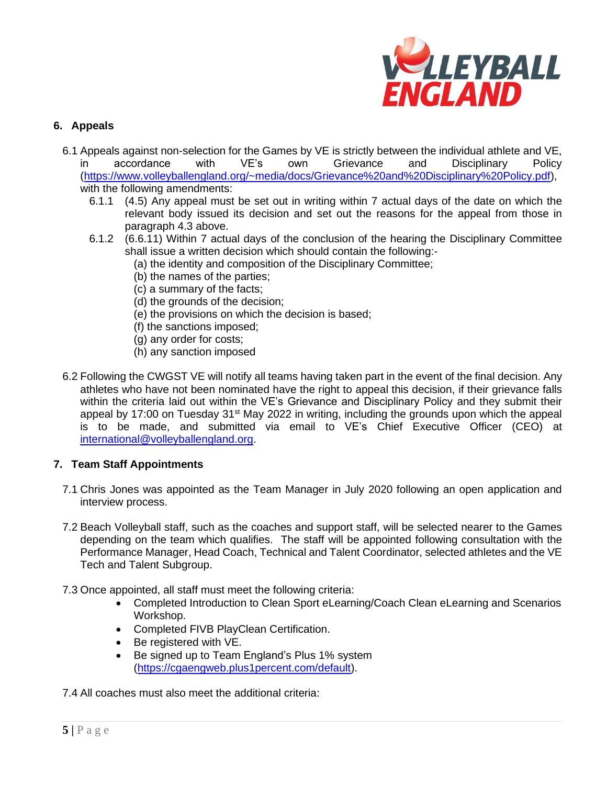

# **6. Appeals**

- 6.1 Appeals against non-selection for the Games by VE is strictly between the individual athlete and VE, in accordance with VE's own Grievance and Disciplinary Policy [\(https://www.volleyballengland.org/~media/docs/Grievance%20and%20Disciplinary%20Policy.pdf\)](https://www.volleyballengland.org/~media/docs/Grievance%20and%20Disciplinary%20Policy.pdf), with the following amendments:
	- 6.1.1 (4.5) Any appeal must be set out in writing within 7 actual days of the date on which the relevant body issued its decision and set out the reasons for the appeal from those in paragraph 4.3 above.
	- 6.1.2 (6.6.11) Within 7 actual days of the conclusion of the hearing the Disciplinary Committee shall issue a written decision which should contain the following:-
		- (a) the identity and composition of the Disciplinary Committee;
		- (b) the names of the parties;
		- (c) a summary of the facts;
		- (d) the grounds of the decision;
		- (e) the provisions on which the decision is based;
		- (f) the sanctions imposed;
		- (g) any order for costs;
		- (h) any sanction imposed
- 6.2 Following the CWGST VE will notify all teams having taken part in the event of the final decision. Any athletes who have not been nominated have the right to appeal this decision, if their grievance falls within the criteria laid out within the VE's Grievance and Disciplinary Policy and they submit their appeal by 17:00 on Tuesday  $31<sup>st</sup>$  May 2022 in writing, including the grounds upon which the appeal is to be made, and submitted via email to VE's Chief Executive Officer (CEO) at [international@volleyballengland.org.](mailto:international@volleyballengland.org)

### **7. Team Staff Appointments**

- 7.1 Chris Jones was appointed as the Team Manager in July 2020 following an open application and interview process.
- 7.2 Beach Volleyball staff, such as the coaches and support staff, will be selected nearer to the Games depending on the team which qualifies. The staff will be appointed following consultation with the Performance Manager, Head Coach, Technical and Talent Coordinator, selected athletes and the VE Tech and Talent Subgroup.
- 7.3 Once appointed, all staff must meet the following criteria:
	- Completed Introduction to Clean Sport eLearning/Coach Clean eLearning and Scenarios Workshop.
	- Completed FIVB PlayClean Certification.
	- Be registered with VE.
	- Be signed up to Team England's Plus 1% system [\(https://cgaengweb.plus1percent.com/default\)](https://cgaengweb.plus1percent.com/default).

7.4 All coaches must also meet the additional criteria: